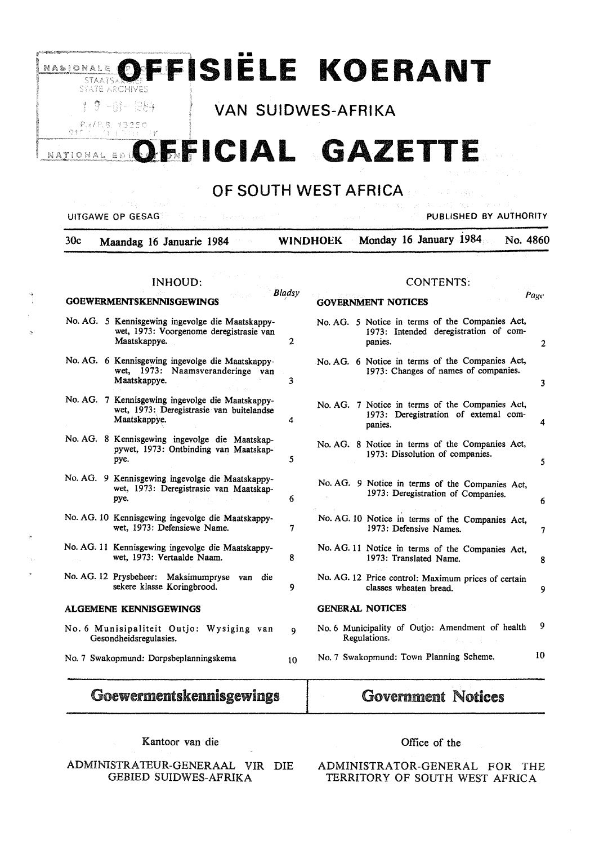# **RABJONALE OFFFISIËLE <u>\*^^:^\*\*\*</u> OFFISIËLE KOERANT**

*<sup>†</sup> <sup>9</sup> -01-1984 VAN SUIDWES-AFRIKA* 

# **NATIONAL E OFFICIAL GAZETTE**

## OF SOUTH WEST AFRICA

### UITGAWE OP GESAG PUBLISHED BY AUTHORITY

| 30c | Maandag 16 Januarie 1984 |  | WINDHOEK Monday 16 January 1984 No. 4860 |  |
|-----|--------------------------|--|------------------------------------------|--|
|     |                          |  |                                          |  |

#### INHOUD:

#### CONTENTS:

|                                                                         | <b>GOEWERMENTSKENNISGEWINGS</b>                                                                              | <b>Bladsy</b>  | Page<br><b>GOVERNMENT NOTICES</b>                                                                   |              |
|-------------------------------------------------------------------------|--------------------------------------------------------------------------------------------------------------|----------------|-----------------------------------------------------------------------------------------------------|--------------|
|                                                                         | No. AG. 5 Kennisgewing ingevolge die Maatskappy-<br>wet, 1973: Voorgenome deregistrasie van<br>Maatskappye.  | $\overline{2}$ | No. AG. 5 Notice in terms of the Companies Act,<br>1973: Intended deregistration of com-<br>panies. | $\mathbf{2}$ |
|                                                                         | No. AG. 6 Kennisgewing ingevolge die Maatskappy-<br>wet, 1973: Naamsveranderinge van<br>Maatskappye.         | 3              | No. AG. 6 Notice in terms of the Companies Act,<br>1973: Changes of names of companies.             | 3            |
|                                                                         | No. AG. 7 Kennisgewing ingevolge die Maatskappy-<br>wet, 1973: Deregistrasie van buitelandse<br>Maatskappye. | 4              | No. AG. 7 Notice in terms of the Companies Act,<br>1973: Deregistration of extemal com-<br>panies.  | 4            |
|                                                                         | No. AG. 8 Kennisgewing ingevolge die Maatskap-<br>pywet, 1973: Ontbinding van Maatskap-<br>pye.              | 5              | No. AG. 8 Notice in terms of the Companies Act,<br>1973: Dissolution of companies.                  | 5            |
|                                                                         | No. AG. 9 Kennisgewing ingevolge die Maatskappy-<br>wet, 1973: Deregistrasie van Maatskap-<br>pye.           | 6              | No. AG. 9 Notice in terms of the Companies Act,<br>1973: Deregistration of Companies.               | 6            |
|                                                                         | No. AG. 10 Kennisgewing ingevolge die Maatskappy-<br>wet, 1973: Defensiewe Name.                             | 7              | No. AG. 10 Notice in terms of the Companies Act,<br>1973: Defensive Names.                          | 7            |
|                                                                         | No. AG. 11 Kennisgewing ingevolge die Maatskappy-<br>wet, 1973: Vertaalde Naam.                              | 8              | No. AG. 11 Notice in terms of the Companies Act,<br>1973: Translated Name.                          | 8            |
|                                                                         | No. AG. 12 Prysbeheer: Maksimumpryse<br>van<br>die<br>sekere klasse Koringbrood.                             | 9              | No. AG. 12 Price control: Maximum prices of certain<br>classes wheaten bread.                       | 9            |
|                                                                         | <b>ALGEMENE KENNISGEWINGS</b>                                                                                |                | <b>GENERAL NOTICES</b>                                                                              |              |
| No. 6 Munisipaliteit Outjo: Wysiging van<br>Q<br>Gesondheidsregulasies. |                                                                                                              |                | No. 6 Municipality of Outjo: Amendment of health<br>Regulations.                                    | 9            |
|                                                                         | No. 7 Swakopmund: Dorpsbeplanningskema                                                                       | 10             | 10<br>No. 7 Swakopmund: Town Planning Scheme.                                                       |              |

# Goewermentskennisgewings

Kantoor van die

ADMINISTRATEUR-GENERAAL VIR DIE GEBIED SUIDWES-AFRIKA

Government Notices

ADMINISTRATOR-GENERAL FOR THE TERRITORY OF SOUTH WEST AFRICA

Office of the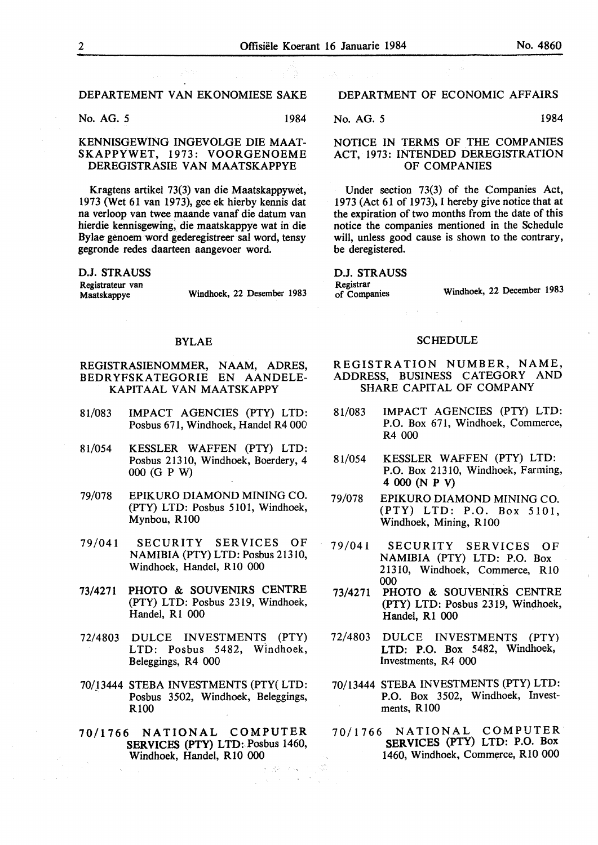No. AG. 5 1984

#### KENNISGEWING INGEVOLGE DIE MAAT-SKAPPYWET, 1973: VOORGENOEME DEREGISTRASIE VAN MAATSKAPPYE

Kragtens artikel 73(3) van die Maatskappywet, 1973 (Wet 61 van 1973), gee ek hierby kennis dat na verloop van twee maande vanaf die datum van hierdie kennisgewing, die maatskappye wat in die Bylae genoem word gederegistreer sal word, tensy gegronde redes daarteen aangevoer word.

**D.J. STRAUSS Registrateur** van

Windhoek, 22 Desember 1983

#### BYLAE

#### REGISTRASIENOMMER, NAAM, ADRES, BEDR YFSKATEGORIE EN AANDELE-KAPITAAL VAN MAATSKAPPY

- 81/083 IMPACT AGENCIES (PTY) LTD: Posbus 671, Windhoek, Handel R4 000
- 81/054 KESSLER WAFFEN (PTY) LTD: Posbus 21310, Windhoek, Boerdery, 4 000 (GP W)
- 79/078 EPIKURO DIAMOND MINING CO. (PTY) LTD: Posbus 5101, Windhoek, Mynbou, R 100
- 79/041 SECURITY SER VICES OF NAMIBIA (PTY) LTD: Posbus 21310, Windhoek, Handel, RIO 000
- 73/4271 PHOTO & SOUVENIRS CENTRE (PTY) LTD: Posbus 2319, Windhoek, Handel, R1 000
- 72/4803 DULCE INVESTMENTS {PTY) LTD: Posbus 5482, Windhoek, Beleggings, R4 000
- 70/13444 STEBA INVESTMENTS (PTY( LTD: Posbus 3502, Windhoek, Beleggings, RlOO
- 70/1766 **NATIONAL** COMPUTER **SERVICES** (PTY) LTD: Posbus 1460, Windhoek, Handel, RIO 000

子 盛年 そうめい

 $\sim$ 

### DEPARTMENT OF ECONOMIC AFFAIRS

#### No. AG. 5 1984

#### NOTICE IN TERMS OF THE COMPANIES ACT, 1973: INTENDED DEREGISTRATION OF COMPANIES

Under section 73(3) of the Companies Act, 1973 (Act 61 of 1973), I hereby give notice that at the expiration of two months from the date of this notice the companies mentioned in the Schedule will, unless good cause is shown to the contrary. be deregistered.

**D.J. STRAUSS Registrar** 

Windhoek, 22 December 1983

#### **SCHEDULE**

 $\frac{1}{2}$  ,  $\frac{1}{2}$  ,  $\frac{1}{2}$  ,  $\frac{1}{2}$  ,  $\frac{1}{2}$ 

- REGISTRATION NUMBER, NAME, ADDRESS, BUSINESS CATEGORY AND SHARE CAPITAL OF COMPANY
- 81/083 IMPACT AGENCIES (PTY) LTD: P.O. Box 671, Windhoek, Commerce, R4 000
- 81/054 KESSLER WAFFEN (PTY) LTD: P.O. Box 21310, Windhoek, Farming, **4000(NPV)**
- 79/078 EPIKURO DIAMOND MINING CO. (PTY) LTD: P.O. Box 5101, Windhoek, Mining, RIO0
- 79/041 SECURITY SER VICES OF NAMIBIA {PTY) LTD: P.O. Box 21310, Windhoek, Commerce, RIO 000
- 73/4271 PHOTO & SOUVENIRS CENTRE (PTY) LTD: Posbus 2319, Windhoek, Handel, R1 000
- 72/4803 DULCE INVESTMENTS (PTY) LTD: P.O. Box 5482, Windhoek, Investments, R4 000
- 70/13444 STEBA INVESTMENTS (PTY) LTD: P.O. Box 3502, Windhoek, Investments, RlOO
- 70/1766 NATIONAL COMPUTER SERVICES (PTY) LTD: P.O. Box 1460, Windhoek, Commerce, R10 000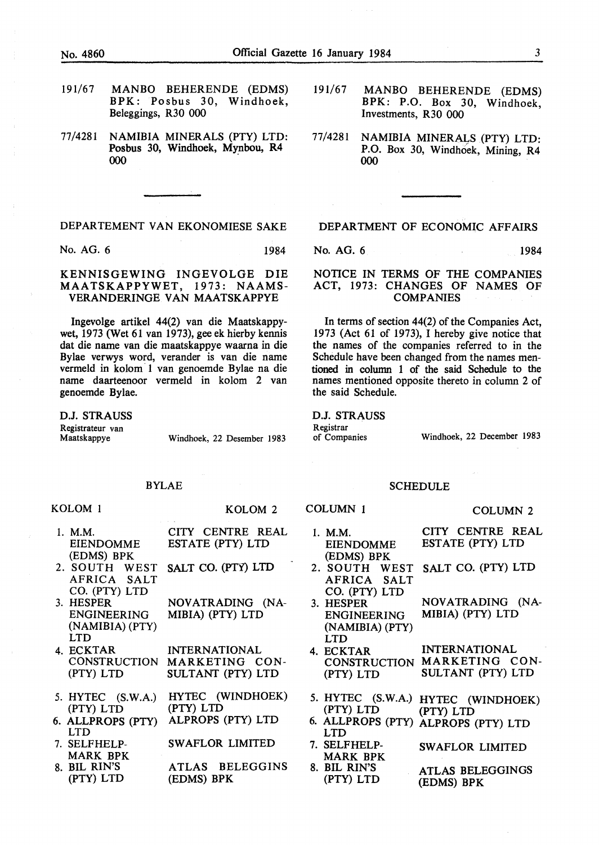- 191/67 MANBO BEHERENDE (EDMS) BPK: Posbus 30, Windhoek, Beleggings, R30 000
- 77/4281 NAMIBIA MINERALS (PTY) LTD: Posbus 30, Windhoek, Mynbou, R4 000

No. AG. 6 1984

#### KENNISGEWING INGEVOLGE DIE MAATSKAPPYWET, 1973: NAAMS-VERANDERINGE VAN MAATSKAPPYE

lngevolge artikel 44(2) van die Maatskappywet, 1973 (Wet 61 van 1973), gee ek hierby kennis dat die name van die maatskappye waarna in die Bylae verwys word, verander is van die name vermeld in kolom 1 van genoemde Bylae na die name daarteenoor vermeld in kolom 2 van genoemde Bylae.

D.J. STRAUSS Registrateur van<br>Maatskappye

KOLOM 1

Windhoek, 22 Desember 1983

KOLOM 2

#### BYLAE

- 1. M.M. EIENDOMME (EDMS) BPK CITY CENTRE REAL ESTATE (PTY) LTD
- 2. SOUTH WEST AFRICA SALT SALT CO. (PTY) LTD
- CO. (PTY) LTD 3. HESPER ENGINEERING (NAMIBIA) (PTY) LTD NOVATRADING (NA-MIBIA) (PTY) LTD
- 4. ECKTAR **CONSTRUCTION** (PTY) LTD INTERNATIONAL MARKETING CON-SULTANT (PTY) LTD
- 5. HYTEC (S.W.A.) (PTY) LTD HYTEC (WINDHOEK) (PTY) LTD
- 6. ALLPROPS (PTY) LTD ALPROPS (PTY) LTD
- 7. SELFHELP-MARK BPK SW AFLOR LIMITED
- 8. BIL RIN'S (PTY) LTD ATLAS BELEGGINS (EDMS) BPK
- 191/67 MANBO BEHERENDE (EDMS) BPK: P.O. Box 30, Windhoek, Investments, R30 000
- 77/4281 NAMIBIA MINERALS (PTY) LTD: P.O. Box 30, Windhoek, Mining, R4 000

#### DEPARTMENT OF ECONOMIC AFFAIRS

No. AG. 6 1984

NOTICE IN TERMS OF THE COMPANIES ACT, 1973: CHANGES OF NAMES OF COMPANIES

In terms of section 44(2) of the Companies Act, 1973 (Act 61 of 1973), I hereby give notice that the names of the companies referred to in the Schedule have been changed from the names mentioned in column 1 of the said Schedule to the names mentioned opposite thereto in column 2 of the said Schedule.

D.J. STRAUSS Registrar<br>of Companies

Windhoek, 22 December 1983

#### SCHEDULE

#### COLUMN 1

- 1. **M.M.**  EIENDOMME (EDMS) BPK CITY CENTRE REAL ESTATE (PTY) LTD
- 2. SOUTH WEST AFRICA SALT CO. (PTY) LTD SALT CO. (PTY) LTD
- 3. HESPER ENGINEERING (NAMIBIA) (PTY) LTD NOVATRADING (NA-**MIBIA)** (PTY) LTD
- 4. ECKTAR CONSTRUCTION MARKETING CON-(PTY) LTD INTERNATIONAL SULTANT (PTY) LTD
- 5. HYTEC (S.W.A.) HYTEC (WINDHOEK) (PTY) LTD (PTY) LTD
- 6. ALLPROPS (PTY) ALPROPS (PTY) LTD LTD
- 7. SELFHELP-MARK BPK SWAFLOR LIMITED
- 8. BIL RIN'S (PTY) LTD ATLAS BELEGGINGS (EDMS) BPK

COLUMN 2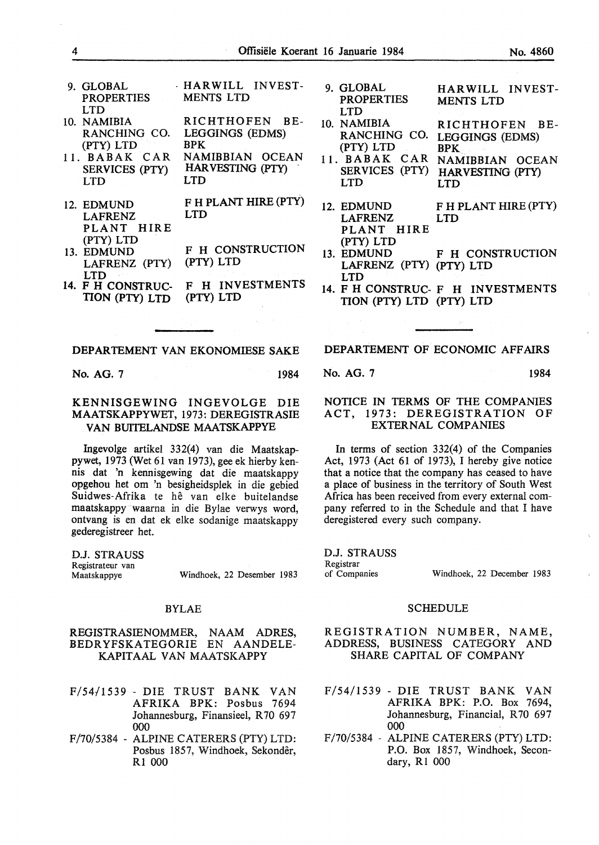- 9. GLOBAL PROPERTIES LTD · HAR WILL INVEST-MENTS LTD
- 10. NAMIBIA RANCHING CO. (PTY) LTD RICHTHOFEN BE-LEGGINGS (EDMS) BPK
- 11. BABAK CAR SERVICES (PTY) LTD NAMIBBIAN OCEAN HAR VESTING (PTY) . LTD
- 12. EDMUND LAFRENZ PLANT HIRE (PTY) LTD F H PLANT HIRE (PTY) LTD
- 13. EDMUND LAFRENZ (PTY) LTD F H CONSTRUCTION (PTY) LTD
- 14. F H CONSTRUC-TION (PTY) LTD F H INVESTMENTS (PTY) LTD
- 9. GLOBAL PROPERTIES LTD 10. NAMIBIA HARWILL INVEST-MENTS LTD RICHTHOFEN BE-
- RANCHING CO. (PTY) LTD 11. BABAK CAR LEGGINGS (EDMS) BPK NAMIBBIAN OCEAN
	- SERVICES (PTY) LTD HARVESTING (PTY) LTD
- 12. EDMUND F H PLANT HIRE (PTY) LAFRENZ LTD PLANT HIRE (PTY) LTD<br>13. EDMUND
- F H CONSTRUCTION LAFRENZ (PTY) (PTY) LTD LTD
- 14. F H CONSTRUC- F H INVESTMENTS TION (PTY) LTD (PTY) LTD

No. AG. 7 1984

#### KENNISGEWING INGEVOLGE DIE MAATSKAPPYWET, 1973: DEREGISTRASIE VAN BUITELANDSE MAATSKAPPYE

Ingevolge artikel 332(4) van die Maatskappywet, 1973 (Wet 61 van 1973), gee ek hierby kennis dat 'n kennisgewing dat die maatskappy opgehou het om 'n besigheidsplek in die gebied Suidwes-Afrika te hê van elke buitelandse maatskappy waarna in die Bylae verwys word, ontvang is en dat ek elke sodanige maatskappy gederegistreer het.

D.J. STRAUSS Registrateur van Windhoek, 22 Desember 1983

#### BYLAE

#### REGISTRASIENOMMER, NAAM ADRES, BEDRYFSKATEGORIE EN AANDELE-KAPITAAL VAN MAATSKAPPY

- F/54/1539 DIE TRUST BANK VAN AFRIKA BPK: Posbus 7694 Johannesburg, Finansieel, R 70 697 000
- F/70/5384 ALPINE CATERERS (PTY) LTD: Posbus 1857, Windhoek, Sekondêr, Rl 000

### **DEPARTEMENT OF ECONOMIC AFFAIRS**

**No. AG.** 7 1984

#### NOTICE IN TERMS OF THE COMPANIES ACT, 1973: DEREGISTRATION OF EXTERNAL COMPANIES

In terms of section 332(4) of the Companies Act, 1973 (Act 61 of 1973), I hereby give notice that a notice that the company has ceased to have a place of business in the territory of South West Africa has been received from every external company referred to in the Schedule and that I have deregistered every such company.

D.J. STRAUSS Registrar of Companies Windhoek, 22 December 1983

#### **SCHEDULE**

#### REGISTRATION NUMBER, NAME, ADDRESS, BUSINESS CATEGORY AND SHARE CAPITAL OF COMPANY

- F/54/1539 DIE TRUST BANK VAN AFRIKA BPK: P.O. Box 7694, Johannesburg, Financial, R70 697 000
- F/70/5384 ALPINE CATERERS (PTY) LTD: P.O. Box 1857, Windhoek, Secondary, Rl 000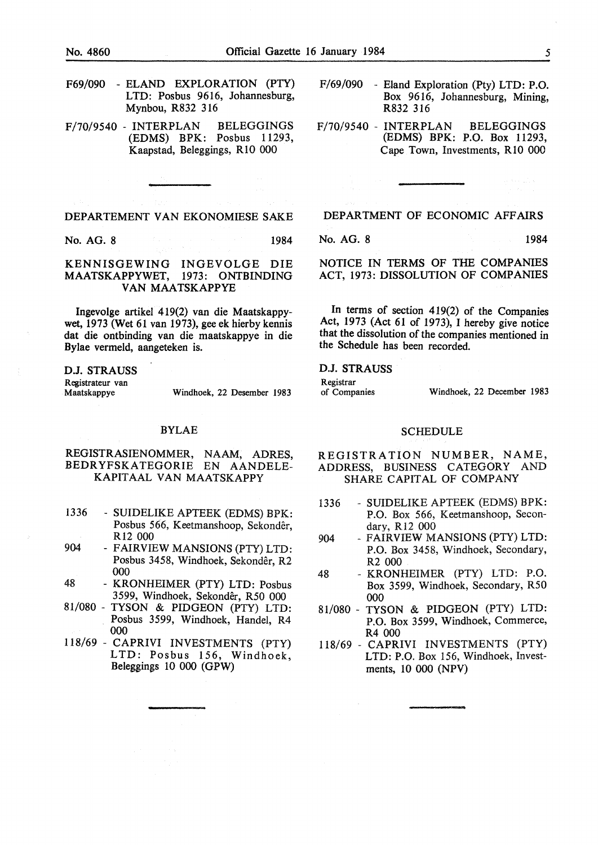- F69/090 ELAND EXPLORATION (PTY) LTD: Posbus 9616, Johannesburg, Mynbou, R832 316
- F/70/9540 INTERPLAN BELEGGINGS (EDMS) BPK: Posbus 11293, Kaapstad, Beleggings, RIO 000

No. AG. 8 1984

#### KENNISGEWING INGEVOLGE DIE MAATSKAPPYWET, 1973: ONTBINDING **VAN MAATSKAPPYE**

Ingevolge artikel 419(2) van die Maatskappywet, 1973 (Wet 61 van 1973), gee ek hierby kennis dat die ontbinding van die maatskappye in die Bylae vermeld, aangeteken is.

**D.J. STRAUSS**  Registrateur van<br>Maatskappye Windhoek, 22 Desember 1983

#### BYLAE

#### REGISTRASIENOMMER, NAAM, ADRES, BEDRYFSKATEGORIE EN AANDELE-KAPITAAL VAN MAATSKAPPY

- 1336 SUIDELIKE APTEEK (EDMS) BPK: Posbus 566, Keetmanshoop, Sekonder, R12 000
- 904 FAIRVIEW MANSIONS (PTY) LTD: Posbus 3458, Windhoek, Sekondêr, R2 000
- 48 KRONHEIMER (PTY) LTD: Posbus 3599, Windhoek, Sekonder, R50 000
- 81/080 TYSON & PIDGEON (PTY) LTD: Posbus 3599, Windhoek, Handel, R4 000
- 118/69 CAPRIVI INVESTMENTS (PTY) LTD: Posbus 156, Windhoek, Beleggings 10 000 (GPW)
- F/69/090 Eland Exploration (Pty) LTD: P.O. Box 9616, Johannesburg, Mining, R832 316
- F/70/9540 INTERPLAN BELEGGINGS (EDMS) BPK: P.O. Box 11293, Cape Town, Investments, RIO 000

DEPARTMENT OF ECONOMIC AFFAIRS

No. AG. 8 1984

NOTICE IN TERMS OF THE COMPANIES ACT, 1973: DISSOLUTION OF COMPANIES

In terms of section 419(2) of the Companies Act, 1973 (Act 61 of 1973), I hereby give notice that the dissolution of the companies mentioned in the Schedule has been recorded.

#### **D.J. STRAUSS**

Registrar<br>of Companies

Windhoek, 22 December 1983

#### SCHEDULE

REGISTRATION NUMBER, NAME, ADDRESS, BUSINESS CATEGORY AND SHARE CAPITAL OF COMPANY

- 1336 SUIDELIKE APTEEK (EDMS) BPK: P.O. Box 566, Keetmanshoop, Secondary, R12 000
- 904 FAIRVIEW MANSIONS (PTY) LTD: P.O. Box 3458, Windhoek, Secondary, R2 000
- 48 KRONHEIMER (PTY) LTD: P.O. Box 3599, Windhoek, Secondary, R50 000
- 81/080 TYSON & PIDGEON (PTY) LTD: P.O. Box 3599, Windhoek, Commerce, R4 000
- 118/69 CAPRIVI INVESTMENTS (PTY) LTD: P.O. Box 156, Windhoek, Investments, 10 000 (NPV)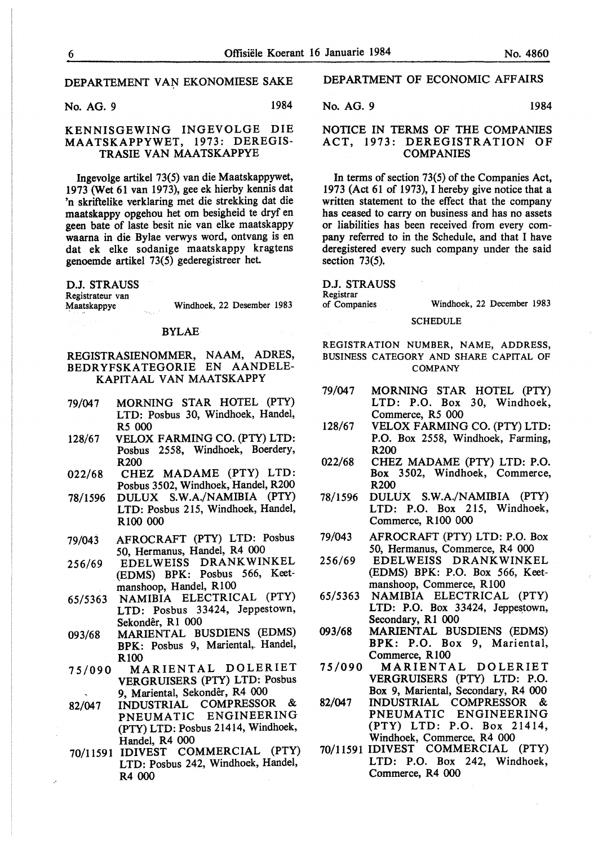No. AG. 9 1984

#### KENNISGEWING INGEVOLGE DIE MAATSKAPPYWET, 1973: DEREGIS-TRASIE VAN MAATSKAPPYE

lngevolge artikel 73(5) van die Maatskappywet, 1973 (Wet 61 van 1973), gee ek hierby kennis dat 'n skriftelike verklaring met die strekking dat die maatskappy opgehou het om besigheid te dryf en geen bate of laste besit nie van elke maatskappy waarna in die Bylae verwys word, ontvang is en dat ek elke sodanige maatskappy kragtens genoemde artikel 73(5) gederegistreer het.

D.J. STRAUSS Registrateur van<br>Maatskappye

## BYLAE

#### REGISTRASIENOMMER, NAAM, ADRES, BEDR YFSKA TEGORIE EN AANDELE-KAPITAAL VAN MAATSKAPPY

- 79/047 MORNING STAR HOTEL (PTY) LTD: Posbus 30, Windhoek, Handel, *RS* 000
- 128/67 VELOX FARMING CO. (PTY) LTD: Posbus 2558, Windhoek, Boerdery, R200
- 022/68 CHEZ MADAME (PTY) LTD: Posbus 3502, Windhoek, Handel, R200
- 78/1596 DULUX **S.W.A./NAMIBIA** (PTY) LTD: Posbus 215, Windhoek, Handel, RlOO 000
- 79/043 AFROCRAFT (PTY) LTD: Posbus 50, Hermanus, Handel, R4 000
- 256/69 EDELWEISS DRANKWINKEL (EDMS) BPK: Posbus 566, Keetmanshoop, Handel, RlOO
- 65/5363 NAMIBIA ELECTRICAL (PTY) LTD: Posbus 33424, Jeppestown, Sekonder, Rl 000
- 093/68 MARIENTAL BUSDIENS (EDMS) BPK: Posbus 9, Mariental,. Handel, RlOO
- 75/090 MARIENTAL DOLERIET VERGRUISERS (PTY) LTD: Posbus 9, Mariental, Sekonder, R4 000
- 82/047 INDUSTRIAL COMPRESSOR &<br>PNEUMATIC ENGINEERING **ENGINEERING** (PTY) LTD: Posbus 21414, Windhoek, Handel, R4 000
- 70/11591 !DIVEST COMMERCIAL (PTY) LTD: Posbus 242, Windhoek, Handel, R4 000

#### DEPARTMENT OF ECONOMIC AFFAIRS

No. AG. 9 1984

#### NOTICE IN TERMS OF THE COMPANIES ACT, 1973: DEREGISTRATION OF **COMPANIES**

In terms of section 73(5) of the Companies Act, 1973 (Act 61 of 1973), I hereby give notice that a written statement to the effect that the company has ceased to carry on business and has no assets or liabilities has been received from every company referred to in the Schedule, and that I have deregistered every such company under the said section 73(5).

#### D.J. STRAUSS

Registrar<br>of Companies

Windhoek, 22 December 1983

**SCHEDULE** 

REGISTRATION NUMBER, NAME, ADDRESS, BUSINESS CATEGORY AND SHARE CAPITAL OF **COMPANY** 

- 79/047 **MORNING** STAR HOTEL (PTY) LTD: P.O. Box 30, Windhoek, Commerce, R5 000
- 128/67 VELOX FARMING CO. (PTY) LTD: P.O. Box 2558, Windhoek, Farming, R200
- 022/68 CHEZ MADAME (PTY) LTD: P.O. Box 3502, Windhoek, Commerce, R200
- 78/1596 DULUX S.W.A./NAMIBIA (PTY) LTD: P.O. Box 215, Windhoek, Commerce, RlOO 000
- 79/043 AFROCRAFT (PTY) LTD: P.O. Box 50, Hermanus, Commerce, R4 000
- 256/69 EDELWEISS DRANKWINKEL (EDMS) BPK: P.O. Box 566, Keetmanshoop, Commerce, R100
- 65/5363 **NAMIBIA** ELECTRICAL (PTY) LTD: P.O. Box 33424, Jeppestown, Secondary, Rl 000
- 093/68 MARIENTAL BUSDIENS (EDMS) **BPK:** P.O. Box 9, Mariental, Commerce, RlOO
- 75/090 MARIENTAL DOLERIET VERGRUISERS (PTY) LTD: P.O. Box 9, Mariental, Secondary, R4 000
- 82/047 INDUSTRIAL COMPRESSOR & PNEUMATIC ENGINEERING (PTY) LTD: P.O. Box 21414, Windhoek, Commerce, R4 000
- 70/11591 !DIVEST COMMERCIAL (PTY) LTD: P.O. Box 242, Windhoek, Commerce, R4 000

Windhoek, 22 Desember 1983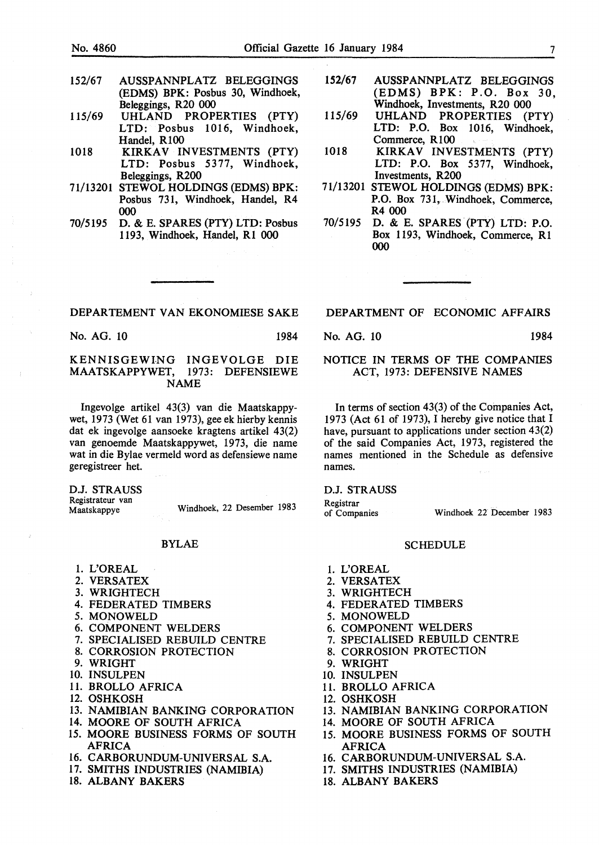- 152/67 AUSSPANNPLATZ BELEGGINGS (EDMS) BPK: Posbus 30, Windhoek, Beleggings, R20 000
- 115/69 UHLAND PROPERTIES (PTY) LTD: Posbus 1016, Windhoek, Handel, R100
- 1018 **KIRKAV INVESTMENTS (PTY)** LTD: Posbus 5377, Windhoek, Beleggings, R200
- 71/13201 STEWOL HOLDINGS (EDMS) BPK: Posbus 731, Windhoek, Handel, R4 000
- 70/5195 D. & E. SPARES (PTY) LTD: Posbus 1193, Windhoek, Handel, RI 000
- 152/67 AUSSPANNPLATZ BELEGGINGS (EDMS) BPK: P.O. Box 30, Windhoek, Investments, R20 000
- 115/69 UHLAND PROPERTIES (PTY) LTD: P.O. Box 1016, Windhoek, Commerce, R 100
- 1018 **KIRKAV INVESTMENTS (PTY)** LTD: P.O. Box 5377, Windhoek, Investments, R200
- 71/13201 STEWOL HOLDINGS (EDMS) BPK: P.O. Box 731, Windhoek, Commerce, R4 000
- 70/5195 D. & E. SPARES (PTY) LTD: P.O. Box 1193, Windhoek, Commerce, RI 000

No. AG. 10 1984

KENNISGEWlNG INGEVOLGE DIE MAATSKAPPYWET, 1973: DEFENSIEWE NAME

Ingevolge artikel 43(3) van die Maatskappywet, 1973 (Wet 61 van 1973), gee ek hierby kennis dat ek ingevolge aansoeke kragtens artikel 43(2) van genoemde Maatskappywet, 1973, die name wat in die Bylae vermeld word as defensiewe name geregistreer het.

**D.J. STRAUSS**  Registrateur van Maatskappye

Windhoek, 22 Desember 1983

#### BYLAE

- 1. L'OREAL
- 2. VERSATEX
- 3. WRIGHTECH
- 4. FEDERATED TIMBERS
- *5.* MONOWELD
- 6. COMPONENT WELDERS
- 7. SPECIALISED REBUILD CENTRE
- 8. CORROSION PROTECTION
- 9. WRIGHT
- 10. INSULPEN
- 11. BROLLO AFRICA
- 12. OSHKOSH
- 13. NAMIBIAN BANKING CORPORATION
- 14. MOORE OF SOUTH AFRICA
- 15. MOORE BUSINESS FORMS OF SOUTH AFRICA
- 16. CARBORUNDUM-UNIVERSAL S.A.
- 17. SMITHS INDUSTRIES (NAMIBIA)
- 18. ALBANY BAKERS

DEPARTMENT OF ECONOMIC AFFAIRS

No. AG. 10 1984

#### NOTICE IN TERMS OF THE COMPANIES ACT, 1973: DEFENSIVE NAMES

In terms of section 43(3) of the Companies Act, 1973 (Act 61 of 1973), I hereby give notice that I have, pursuant to applications under section 43(2) of the said Companies Act, 1973, registered the names mentioned in the Schedule as defensive names.

**D.J. STRAUSS** 

Registrar<br>of Companies

Windhoek 22 December 1983

#### SCHEDULE

- 1. L'OREAL
- 2. VERSATEX
- 3. WRIGHTECH
- 4. FEDERATED TIMBERS
- 5. MONOWELD
- 6. COMPONENT WELDERS
- 7. SPECIALISED REBUILD CENTRE
- 8. CORROSION PROTECTION
- 9. WRIGHT
- 10. INSULPEN
- 11. BROLLO AFRICA
- 12. OSHKOSH
- 13. NAMIBIAN BANKING CORPORATION
- 14. MOORE OF SOUTH AFRICA
- 15. MOORE BUSINESS FORMS OF SOUTH AFRICA
- 16. CARBORUNDUM-UNIVERSAL S.A.
- 17. SMITHS INDUSTRIES (NAMIBIA)
- 18. ALBANY BAKERS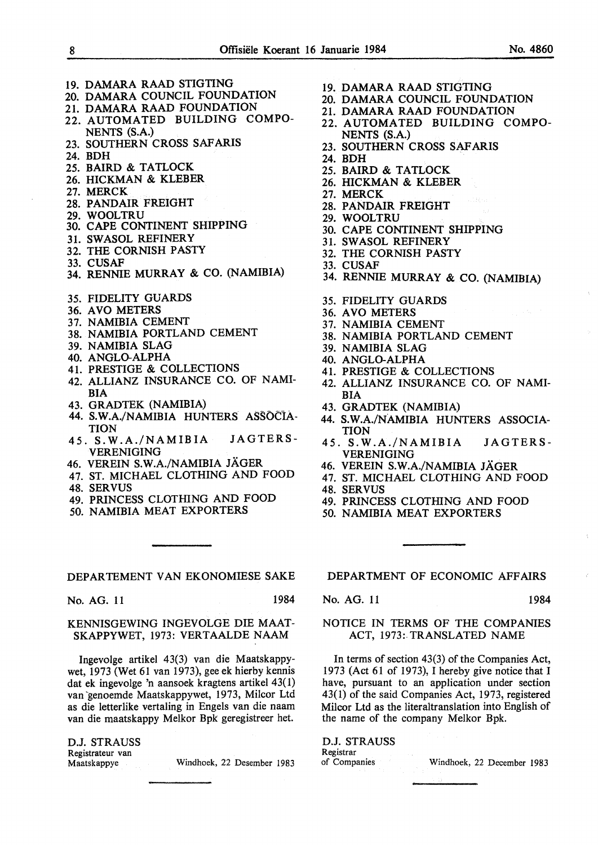- 19. DAMARA RAAD STIGTING
- 20. DAMARA COUNCIL FOUNDATION
- 21. DAMARA RAAD FOUNDATION
- 22. AUTOMATED BUILDING COMPO-NENTS (S.A.)
- 23. SOUTHERN CROSS SAFARIS
- 24. BDH
- 25. BAIRD & TATLOCK
- 26. HICKMAN & KLEBER
- 27. MERCK
- 28. PANDAIR FREIGHT
- 29. WOOLTRU
- 30. CAPE CONTINENT SHIPPING
- 31. SWASOL REFINERY
- 32. THE CORNISH PASTY
- 33. CUSAF
- 34. RENNIE MURRAY & CO. (NAMIBIA)
- 35. FIDELITY GUARDS
- 36. A VO METERS
- 37. NAMIBIA CEMENT
- 38. NAMIBIA PORTLAND CEMENT
- 39. NAMIBIA SLAG
- 40. ANGLO-ALPHA
- 41. PRESTIGE & COLLECTIONS
- 42. ALLIANZ INSURANCE CO. OF NAMI-BIA
- 43. GRADTEK (NAMIBIA)
- 44. S.W.A./NAMIBIA HUNTERS ASSOCIA-**TION**
- 45. S.W.A./NAMIBIA JAGTERS-VERENIGING
- 46. VEREIN S.W.A./NAMIBIA JAGER
- 47. ST. MICHAEL CLOTHING AND FOOD
- 48. SERVUS
- 49. PRINCESS CLOTHING AND FOOD
- 50. NAMIBIA MEAT EXPORTERS

No. AG. 11 1984

#### KENNISGEWING INGEVOLGE DIE MAAT-SKAPPYWET, 1973: VERTAALDE NAAM

Ingevolge artikel 43(3) van die Maatskappywet, 1973 (Wet 61 van 1973), gee ek hierby kennis dat ek ingevolge 'n aansoek kragtens artikel 43(1) van genoemde Maatskappywet, 1973, Milcor Ltd as die letterlike vertaling in Engels van die naam van die maatskappy Melkor Bpk geregistreer het.

D.J. STRAUSS Registrateur van

Maatskappye Windhoek, 22 Desember 1983

- 19. DAMARA RAAD STIGTING
- 20. DAMARA COUNCIL FOUNDATION
- 21. DAMARA RAAD FOUNDATION
- 22. AUTOMATED BUILDING COMPO-NENTS (S.A.)
- 23. SOUTHERN CROSS SAFARIS
- 24. BDH
- 25. BAIRD & TATLOCK
- 26. HICKMAN & KLEBER
- 27. MERCK
- 28. PANDAIR FREIGHT
- 29. WOOLTRU
- 30. CAPE CONTINENT SHIPPING
- 31. SWASOL REFINERY
- 32. THE CORNISH PASTY
- 33. CUSAF
- 34. RENNIE MURRAY & CO. (NAMIBIA)
- 35. FIDELITY GUARDS
- 36. A VO METERS
- 37. NAMIBIA CEMENT
- 38. NAMIBIA PORTLAND CEMENT
- 39. NAMIBIA SLAG
- 40. ANGLO-ALPHA
- 41. PRESTIGE & COLLECTIONS
- 42. ALLIANZ INSURANCE CO. OF NAMI-BIA
- 43. GRADTEK (NAMIBIA)
- 44. S. W.A./NAMIBIA HUNTERS ASSOCIA-TION
- 45. S.W.A./NAMIBIA JAGTERS-VERENIGING
- 46. VEREIN S.W.A./NAMIBIA JAGER
- 47. ST. MICHAEL CLOTHING AND FOOD
- 48. SERVUS
- 49. PRINCESS CLOTHING AND FOOD
- 50. NAMIBIA MEAT EXPORTERS

DEPARTMENT OF ECONOMIC AFFAIRS

No. AG. 11 1984

#### NOTICE **IN TERMS OF** THE **COMPANIES ACT,** 1973: **TRANSLATED NAME**

In terms of section 43(3) of the Companies Act, 1973 (Act 61 of 1973), I hereby give notice that I have, pursuant to an application under section 43(1) of the said Companies Act, 1973, registered Milcor Ltd as the literaltranslation into English of the name of the company Melkor Bpk.

D.J. STRAUSS Registrar<br>of Companies

Windhoek, 22 December 1983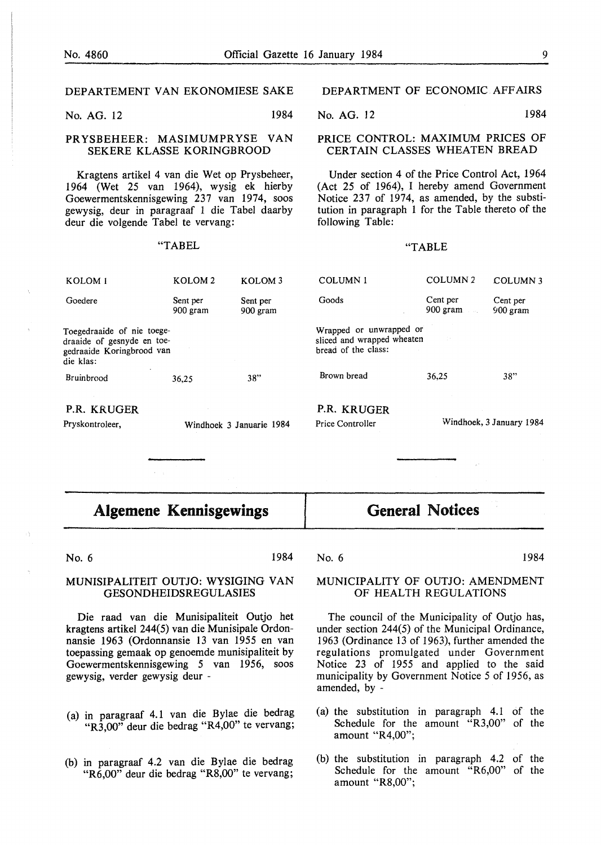No. AG. 12 1984

#### PRYSBEHEER: MASIMUMPRYSE VAN SEKERE KLASSE KORINGBROOD

Kragtens artikel 4 van die Wet op Prysbeheer, 1964 (Wet 25 van 1964), wysig ek hierby Goewermentskennisgewing 237 van 1974, soos gewysig, deur in paragraaf 1 die Tabel daarby deur die volgende Tabel te vervang:

#### "TABEL

#### DEPARTMENT OF ECONOMIC AFFAIRS

No. AG. 12 1984

#### PRICE CONTROL: MAXIMUM PRICES OF CERTAIN CLASSES WHEATEN BREAD

Under section 4 of the Price Control Act, 1964 (Act 25 of 1964), I hereby amend Government Notice 237 of 1974, as amended, by the substitution in paragraph 1 for the Table thereto of the following Table:

#### "TABLE

| P.R. KRUGER<br>Pryskontroleer,                                                                     |                      | Windhoek 3 Januarie 1984 | P.R. KRUGER<br>Price Controller                                              |                         | Windhoek, 3 January 1984 |
|----------------------------------------------------------------------------------------------------|----------------------|--------------------------|------------------------------------------------------------------------------|-------------------------|--------------------------|
| Bruinbrood                                                                                         | 36,25                | 38"                      | Brown bread                                                                  | 36,25                   | 38"                      |
| Toegedraaide of nie toege-<br>draaide of gesnyde en toe-<br>gedraaide Koringbrood van<br>die klas: |                      |                          | Wrapped or unwrapped or<br>sliced and wrapped wheaten<br>hread of the class: | $\sim 100$              |                          |
| Goedere                                                                                            | Sent per<br>900 gram | Sent per<br>900 gram     | Goods                                                                        | Cent per<br>$900$ gram. | Cent per<br>$900$ gram   |
| KOLOM <sub>1</sub>                                                                                 | KOLOM <sub>2</sub>   | KOLOM <sub>3</sub>       | COLUMN <sub>1</sub>                                                          | COLUMN <sub>2</sub>     | COLUMN 3                 |

**Algemene Kennisgewings** 

# **General Notices**

No. 6 1984

#### No. 6 1984

#### MUNISIPALITEIT OUTJO: WYSIGING VAN GESONDHEIDSREGULASIES

Die raad van die Munisipaliteit Outjo het kragtens artikel 244(5) van die Munisipale Ordonnansie 1963 (Ordonnansie 13 van 1955 en van toepassing gemaak op genoemde munisipaliteit by Goewermentskennisgewing 5 van 1956, soos gewysig, verder gewysig deur -

- (a) in paragraaf 4.1 van die Bylae die bedrag "R3,00" deur die bedrag "R4,00" te vervang;
- (b) in paragraaf 4.2 van die Bylae die bedrag "R6,00" deur die bedrag "R8,00" te vervang;

#### MUNICIPALITY OF OUTJO: AMENDMENT OF HEALTH REGULATIONS

The council of the Municipality of Outjo has, under section 244(5) of the Municipal Ordinance, 1963 (Ordinance 13 of 1963), further amended the regulations promulgated under Government Notice 23 of 1955 and applied to the said municipality by Government Notice 5 of 1956, as amended, by -

- (a) the substitution in paragraph 4.1 of the Schedule for the amount "R3,00" of the amount "R4,00";
- (b) the substitution in paragraph 4.2 of the Schedule for the amount "R6,00" of the amount "R8,00";